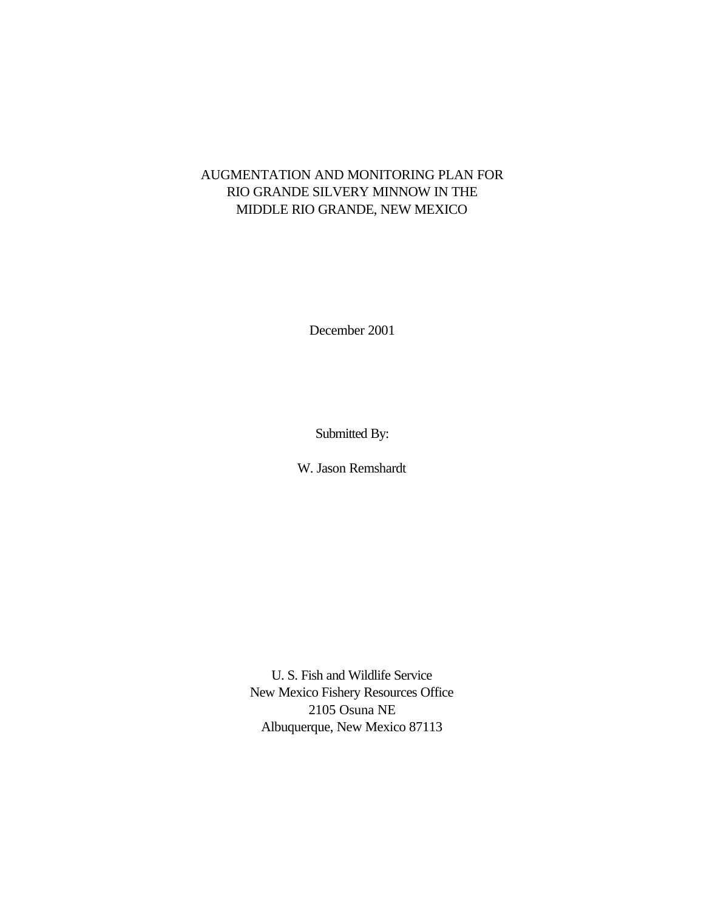# AUGMENTATION AND MONITORING PLAN FOR RIO GRANDE SILVERY MINNOW IN THE MIDDLE RIO GRANDE, NEW MEXICO

December 2001

Submitted By:

W. Jason Remshardt

U. S. Fish and Wildlife Service New Mexico Fishery Resources Office 2105 Osuna NE Albuquerque, New Mexico 87113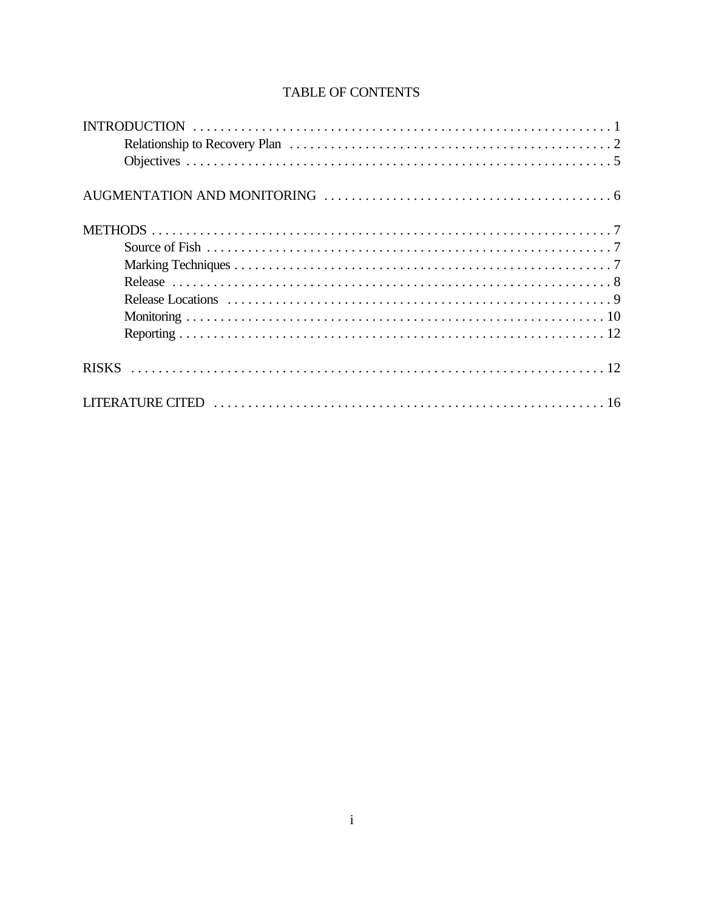# TABLE OF CONTENTS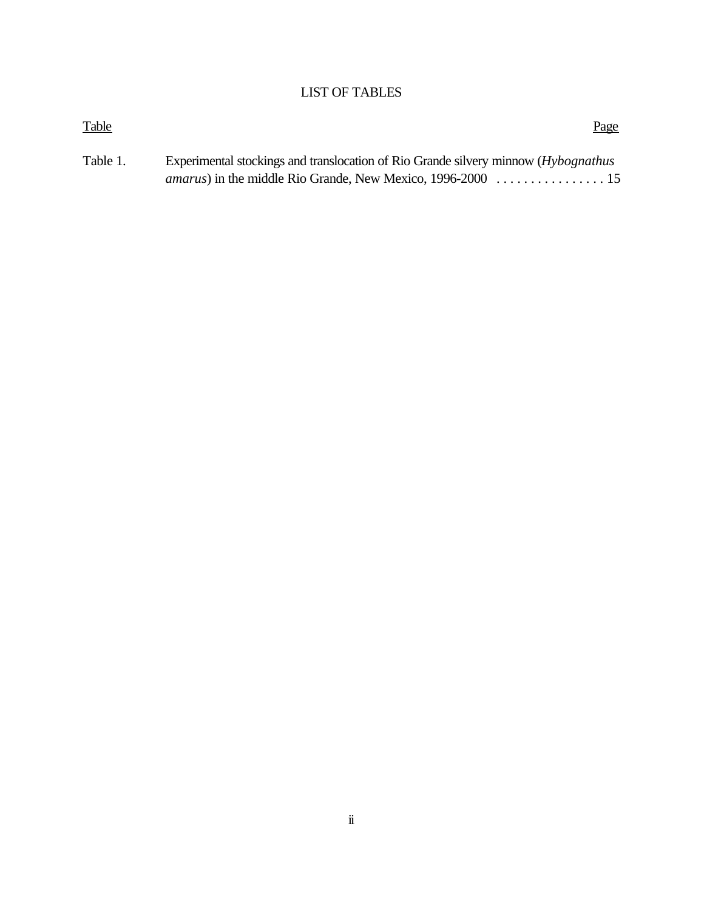# LIST OF TABLES

| <b>Table</b> | Page                                                                                |
|--------------|-------------------------------------------------------------------------------------|
| Table 1.     | Experimental stockings and translocation of Rio Grande silvery minnow (Hybognathus) |
|              |                                                                                     |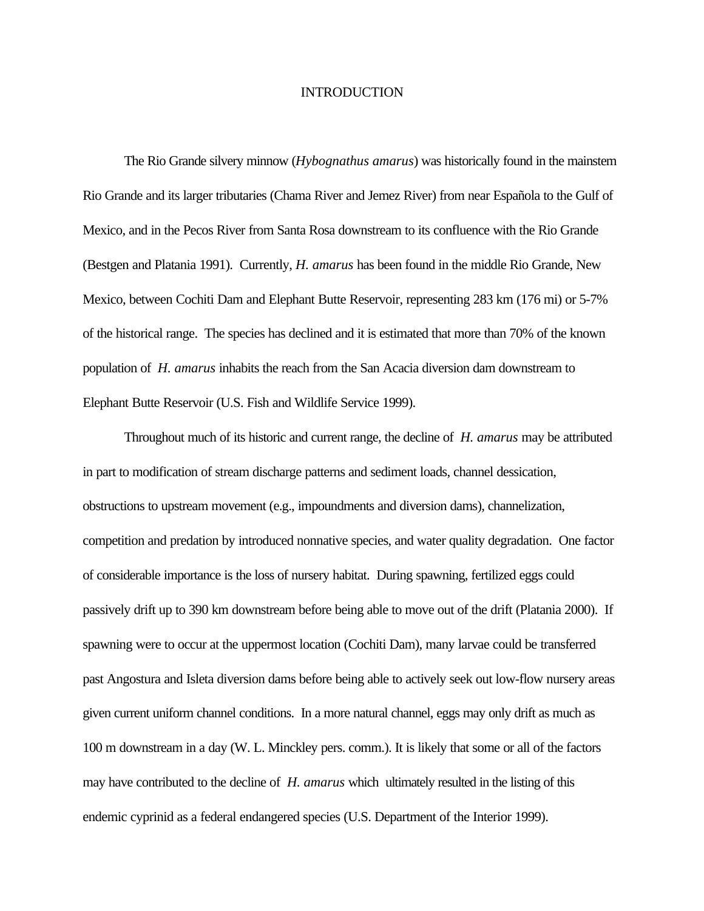#### INTRODUCTION

The Rio Grande silvery minnow (*Hybognathus amarus*) was historically found in the mainstem Rio Grande and its larger tributaries (Chama River and Jemez River) from near Española to the Gulf of Mexico, and in the Pecos River from Santa Rosa downstream to its confluence with the Rio Grande (Bestgen and Platania 1991). Currently, *H. amarus* has been found in the middle Rio Grande, New Mexico, between Cochiti Dam and Elephant Butte Reservoir, representing 283 km (176 mi) or 5-7% of the historical range. The species has declined and it is estimated that more than 70% of the known population of *H. amarus* inhabits the reach from the San Acacia diversion dam downstream to Elephant Butte Reservoir (U.S. Fish and Wildlife Service 1999).

Throughout much of its historic and current range, the decline of *H. amarus* may be attributed in part to modification of stream discharge patterns and sediment loads, channel dessication, obstructions to upstream movement (e.g., impoundments and diversion dams), channelization, competition and predation by introduced nonnative species, and water quality degradation. One factor of considerable importance is the loss of nursery habitat. During spawning, fertilized eggs could passively drift up to 390 km downstream before being able to move out of the drift (Platania 2000). If spawning were to occur at the uppermost location (Cochiti Dam), many larvae could be transferred past Angostura and Isleta diversion dams before being able to actively seek out low-flow nursery areas given current uniform channel conditions. In a more natural channel, eggs may only drift as much as 100 m downstream in a day (W. L. Minckley pers. comm.). It is likely that some or all of the factors may have contributed to the decline of *H. amarus* which ultimately resulted in the listing of this endemic cyprinid as a federal endangered species (U.S. Department of the Interior 1999).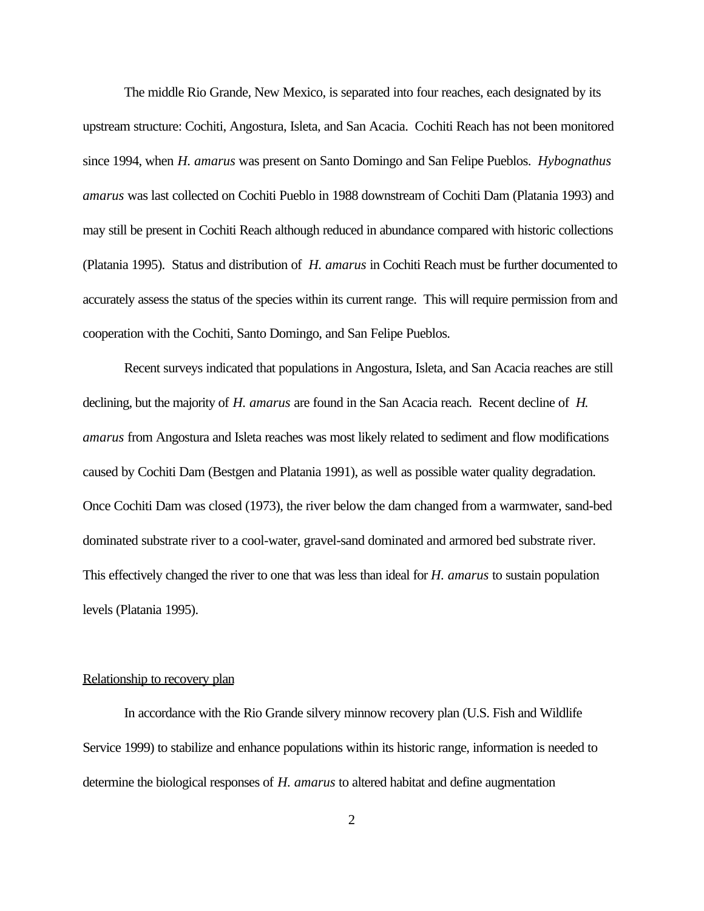The middle Rio Grande, New Mexico, is separated into four reaches, each designated by its upstream structure: Cochiti, Angostura, Isleta, and San Acacia. Cochiti Reach has not been monitored since 1994, when *H. amarus* was present on Santo Domingo and San Felipe Pueblos. *Hybognathus amarus* was last collected on Cochiti Pueblo in 1988 downstream of Cochiti Dam (Platania 1993) and may still be present in Cochiti Reach although reduced in abundance compared with historic collections (Platania 1995). Status and distribution of *H. amarus* in Cochiti Reach must be further documented to accurately assess the status of the species within its current range. This will require permission from and cooperation with the Cochiti, Santo Domingo, and San Felipe Pueblos.

Recent surveys indicated that populations in Angostura, Isleta, and San Acacia reaches are still declining, but the majority of *H. amarus* are found in the San Acacia reach. Recent decline of *H. amarus* from Angostura and Isleta reaches was most likely related to sediment and flow modifications caused by Cochiti Dam (Bestgen and Platania 1991), as well as possible water quality degradation. Once Cochiti Dam was closed (1973), the river below the dam changed from a warmwater, sand-bed dominated substrate river to a cool-water, gravel-sand dominated and armored bed substrate river. This effectively changed the river to one that was less than ideal for *H. amarus* to sustain population levels (Platania 1995).

# Relationship to recovery plan

In accordance with the Rio Grande silvery minnow recovery plan (U.S. Fish and Wildlife Service 1999) to stabilize and enhance populations within its historic range, information is needed to determine the biological responses of *H. amarus* to altered habitat and define augmentation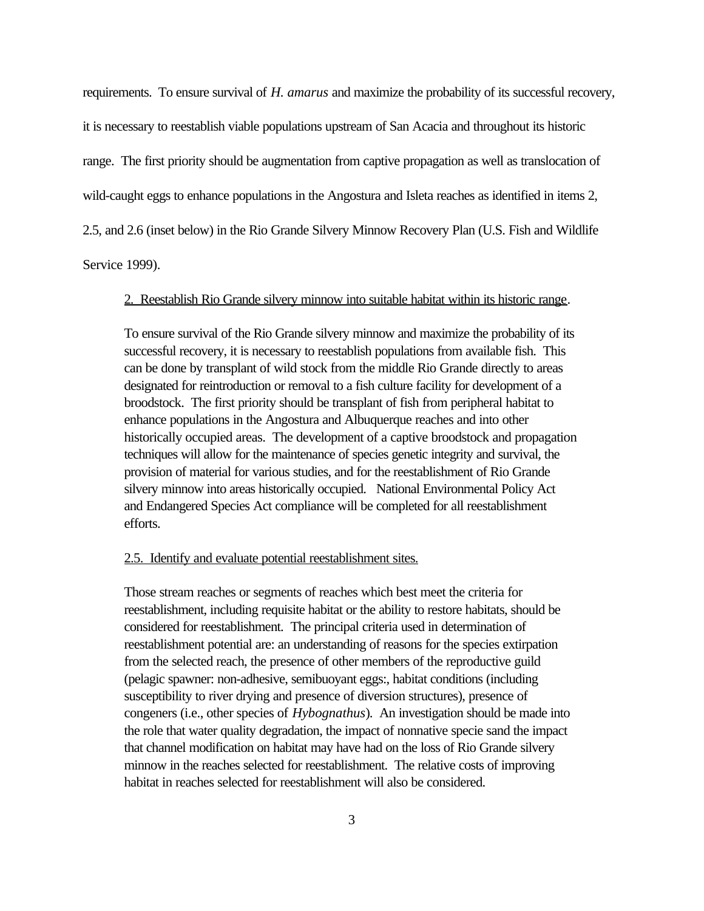requirements. To ensure survival of *H. amarus* and maximize the probability of its successful recovery, it is necessary to reestablish viable populations upstream of San Acacia and throughout its historic range. The first priority should be augmentation from captive propagation as well as translocation of wild-caught eggs to enhance populations in the Angostura and Isleta reaches as identified in items 2, 2.5, and 2.6 (inset below) in the Rio Grande Silvery Minnow Recovery Plan (U.S. Fish and Wildlife Service 1999).

# 2. Reestablish Rio Grande silvery minnow into suitable habitat within its historic range.

To ensure survival of the Rio Grande silvery minnow and maximize the probability of its successful recovery, it is necessary to reestablish populations from available fish. This can be done by transplant of wild stock from the middle Rio Grande directly to areas designated for reintroduction or removal to a fish culture facility for development of a broodstock. The first priority should be transplant of fish from peripheral habitat to enhance populations in the Angostura and Albuquerque reaches and into other historically occupied areas. The development of a captive broodstock and propagation techniques will allow for the maintenance of species genetic integrity and survival, the provision of material for various studies, and for the reestablishment of Rio Grande silvery minnow into areas historically occupied. National Environmental Policy Act and Endangered Species Act compliance will be completed for all reestablishment efforts.

#### 2.5. Identify and evaluate potential reestablishment sites.

Those stream reaches or segments of reaches which best meet the criteria for reestablishment, including requisite habitat or the ability to restore habitats, should be considered for reestablishment. The principal criteria used in determination of reestablishment potential are: an understanding of reasons for the species extirpation from the selected reach, the presence of other members of the reproductive guild (pelagic spawner: non-adhesive, semibuoyant eggs:, habitat conditions (including susceptibility to river drying and presence of diversion structures), presence of congeners (i.e., other species of *Hybognathus*). An investigation should be made into the role that water quality degradation, the impact of nonnative specie sand the impact that channel modification on habitat may have had on the loss of Rio Grande silvery minnow in the reaches selected for reestablishment. The relative costs of improving habitat in reaches selected for reestablishment will also be considered.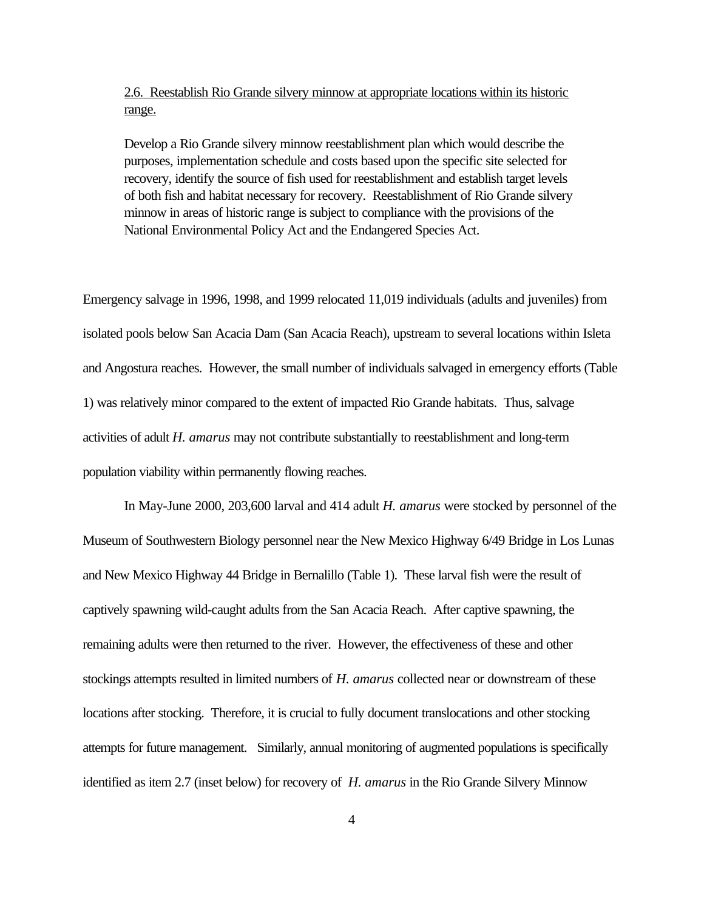# 2.6. Reestablish Rio Grande silvery minnow at appropriate locations within its historic range.

Develop a Rio Grande silvery minnow reestablishment plan which would describe the purposes, implementation schedule and costs based upon the specific site selected for recovery, identify the source of fish used for reestablishment and establish target levels of both fish and habitat necessary for recovery. Reestablishment of Rio Grande silvery minnow in areas of historic range is subject to compliance with the provisions of the National Environmental Policy Act and the Endangered Species Act.

Emergency salvage in 1996, 1998, and 1999 relocated 11,019 individuals (adults and juveniles) from isolated pools below San Acacia Dam (San Acacia Reach), upstream to several locations within Isleta and Angostura reaches. However, the small number of individuals salvaged in emergency efforts (Table 1) was relatively minor compared to the extent of impacted Rio Grande habitats. Thus, salvage activities of adult *H. amarus* may not contribute substantially to reestablishment and long-term population viability within permanently flowing reaches.

In May-June 2000, 203,600 larval and 414 adult *H. amarus* were stocked by personnel of the Museum of Southwestern Biology personnel near the New Mexico Highway 6/49 Bridge in Los Lunas and New Mexico Highway 44 Bridge in Bernalillo (Table 1). These larval fish were the result of captively spawning wild-caught adults from the San Acacia Reach. After captive spawning, the remaining adults were then returned to the river. However, the effectiveness of these and other stockings attempts resulted in limited numbers of *H. amarus* collected near or downstream of these locations after stocking. Therefore, it is crucial to fully document translocations and other stocking attempts for future management. Similarly, annual monitoring of augmented populations is specifically identified as item 2.7 (inset below) for recovery of *H. amarus* in the Rio Grande Silvery Minnow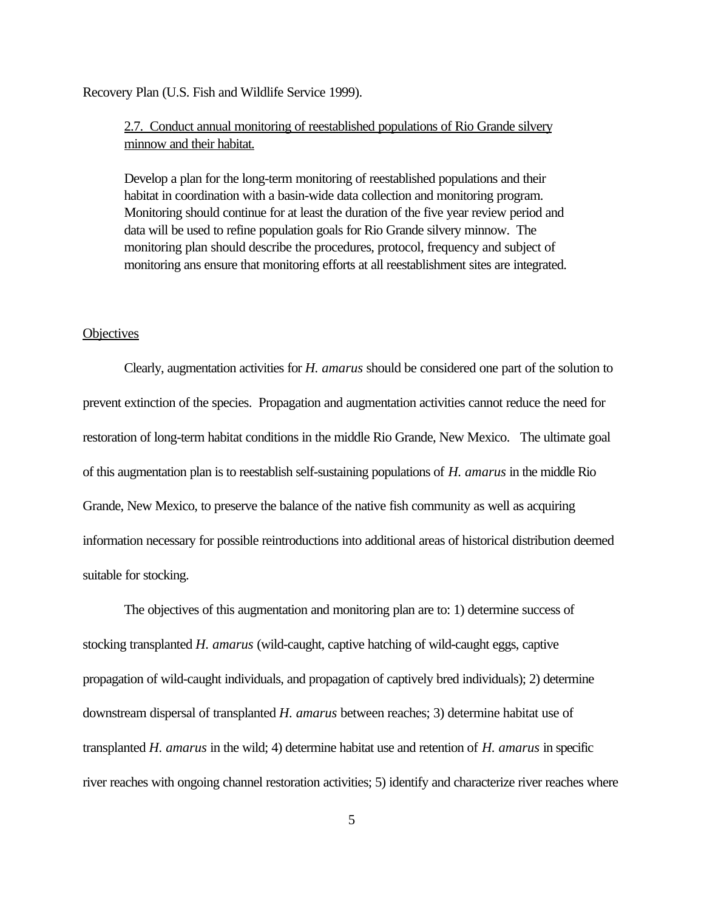Recovery Plan (U.S. Fish and Wildlife Service 1999).

2.7. Conduct annual monitoring of reestablished populations of Rio Grande silvery minnow and their habitat.

Develop a plan for the long-term monitoring of reestablished populations and their habitat in coordination with a basin-wide data collection and monitoring program. Monitoring should continue for at least the duration of the five year review period and data will be used to refine population goals for Rio Grande silvery minnow. The monitoring plan should describe the procedures, protocol, frequency and subject of monitoring ans ensure that monitoring efforts at all reestablishment sites are integrated.

#### **Objectives**

Clearly, augmentation activities for *H. amarus* should be considered one part of the solution to prevent extinction of the species. Propagation and augmentation activities cannot reduce the need for restoration of long-term habitat conditions in the middle Rio Grande, New Mexico. The ultimate goal of this augmentation plan is to reestablish self-sustaining populations of *H. amarus* in the middle Rio Grande, New Mexico, to preserve the balance of the native fish community as well as acquiring information necessary for possible reintroductions into additional areas of historical distribution deemed suitable for stocking.

The objectives of this augmentation and monitoring plan are to: 1) determine success of stocking transplanted *H. amarus* (wild-caught, captive hatching of wild-caught eggs, captive propagation of wild-caught individuals, and propagation of captively bred individuals); 2) determine downstream dispersal of transplanted *H. amarus* between reaches; 3) determine habitat use of transplanted *H. amarus* in the wild; 4) determine habitat use and retention of *H. amarus* in specific river reaches with ongoing channel restoration activities; 5) identify and characterize river reaches where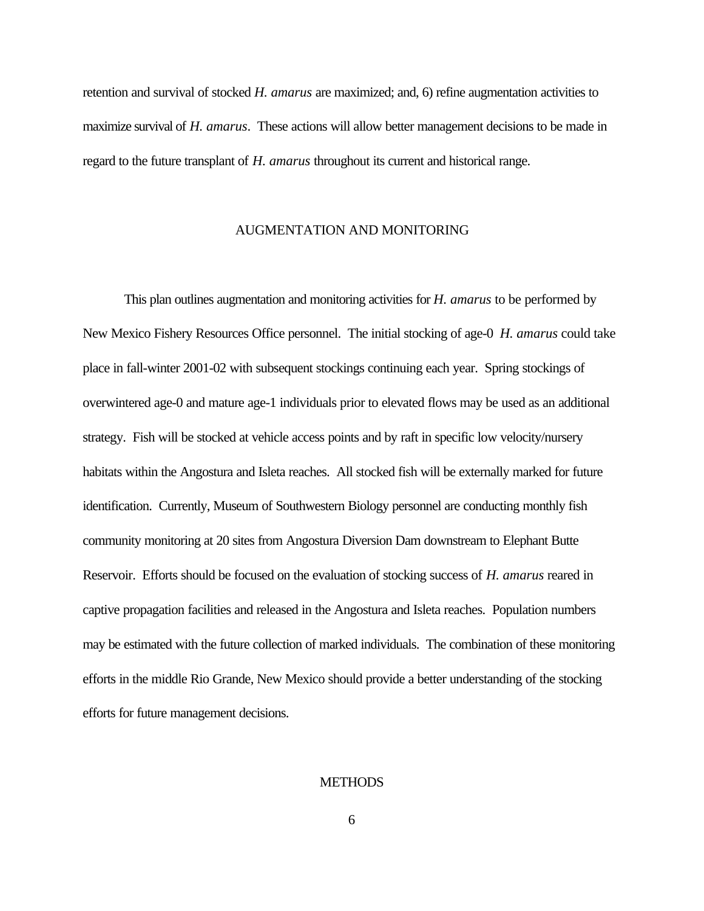retention and survival of stocked *H. amarus* are maximized; and, 6) refine augmentation activities to maximize survival of *H. amarus*. These actions will allow better management decisions to be made in regard to the future transplant of *H. amarus* throughout its current and historical range.

### AUGMENTATION AND MONITORING

This plan outlines augmentation and monitoring activities for *H. amarus* to be performed by New Mexico Fishery Resources Office personnel. The initial stocking of age-0 *H. amarus* could take place in fall-winter 2001-02 with subsequent stockings continuing each year. Spring stockings of overwintered age-0 and mature age-1 individuals prior to elevated flows may be used as an additional strategy. Fish will be stocked at vehicle access points and by raft in specific low velocity/nursery habitats within the Angostura and Isleta reaches. All stocked fish will be externally marked for future identification. Currently, Museum of Southwestern Biology personnel are conducting monthly fish community monitoring at 20 sites from Angostura Diversion Dam downstream to Elephant Butte Reservoir. Efforts should be focused on the evaluation of stocking success of *H. amarus* reared in captive propagation facilities and released in the Angostura and Isleta reaches. Population numbers may be estimated with the future collection of marked individuals. The combination of these monitoring efforts in the middle Rio Grande, New Mexico should provide a better understanding of the stocking efforts for future management decisions.

### **METHODS**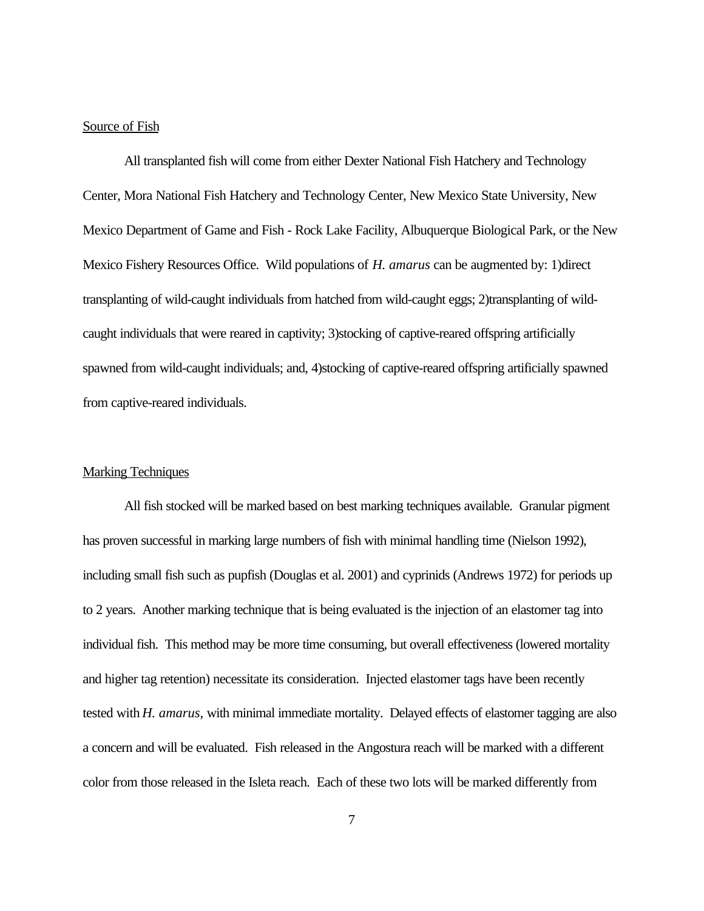# Source of Fish

All transplanted fish will come from either Dexter National Fish Hatchery and Technology Center, Mora National Fish Hatchery and Technology Center, New Mexico State University, New Mexico Department of Game and Fish - Rock Lake Facility, Albuquerque Biological Park, or the New Mexico Fishery Resources Office. Wild populations of *H. amarus* can be augmented by: 1)direct transplanting of wild-caught individuals from hatched from wild-caught eggs; 2)transplanting of wildcaught individuals that were reared in captivity; 3)stocking of captive-reared offspring artificially spawned from wild-caught individuals; and, 4)stocking of captive-reared offspring artificially spawned from captive-reared individuals.

#### **Marking Techniques**

All fish stocked will be marked based on best marking techniques available. Granular pigment has proven successful in marking large numbers of fish with minimal handling time (Nielson 1992), including small fish such as pupfish (Douglas et al. 2001) and cyprinids (Andrews 1972) for periods up to 2 years. Another marking technique that is being evaluated is the injection of an elastomer tag into individual fish. This method may be more time consuming, but overall effectiveness (lowered mortality and higher tag retention) necessitate its consideration. Injected elastomer tags have been recently tested with *H. amarus,* with minimal immediate mortality. Delayed effects of elastomer tagging are also a concern and will be evaluated. Fish released in the Angostura reach will be marked with a different color from those released in the Isleta reach. Each of these two lots will be marked differently from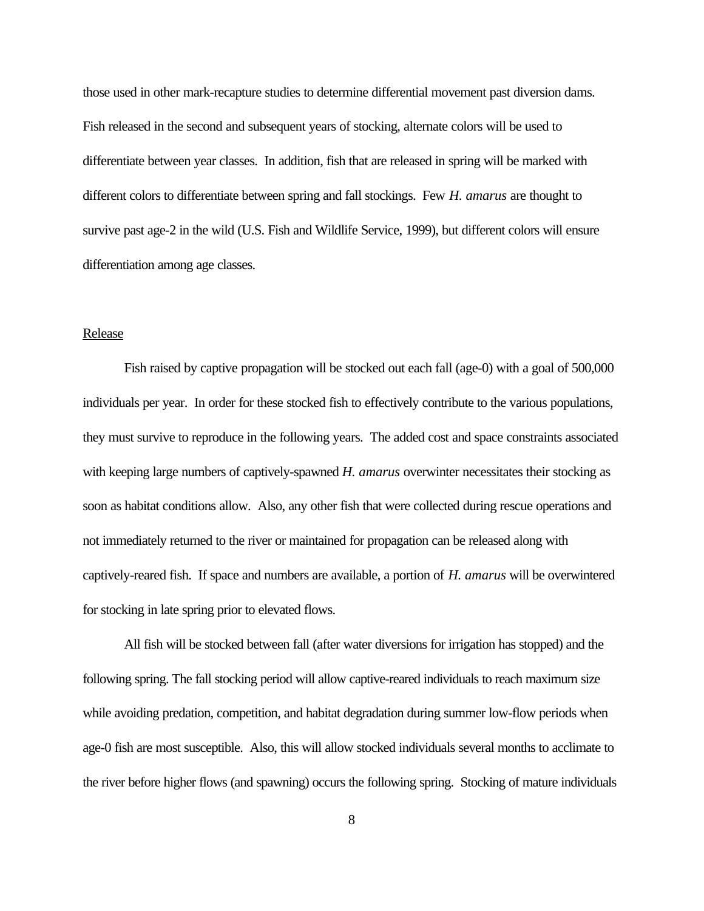those used in other mark-recapture studies to determine differential movement past diversion dams. Fish released in the second and subsequent years of stocking, alternate colors will be used to differentiate between year classes. In addition, fish that are released in spring will be marked with different colors to differentiate between spring and fall stockings. Few *H. amarus* are thought to survive past age-2 in the wild (U.S. Fish and Wildlife Service, 1999), but different colors will ensure differentiation among age classes.

#### Release

Fish raised by captive propagation will be stocked out each fall (age-0) with a goal of 500,000 individuals per year. In order for these stocked fish to effectively contribute to the various populations, they must survive to reproduce in the following years. The added cost and space constraints associated with keeping large numbers of captively-spawned *H. amarus* overwinter necessitates their stocking as soon as habitat conditions allow. Also, any other fish that were collected during rescue operations and not immediately returned to the river or maintained for propagation can be released along with captively-reared fish. If space and numbers are available, a portion of *H. amarus* will be overwintered for stocking in late spring prior to elevated flows.

All fish will be stocked between fall (after water diversions for irrigation has stopped) and the following spring. The fall stocking period will allow captive-reared individuals to reach maximum size while avoiding predation, competition, and habitat degradation during summer low-flow periods when age-0 fish are most susceptible. Also, this will allow stocked individuals several months to acclimate to the river before higher flows (and spawning) occurs the following spring. Stocking of mature individuals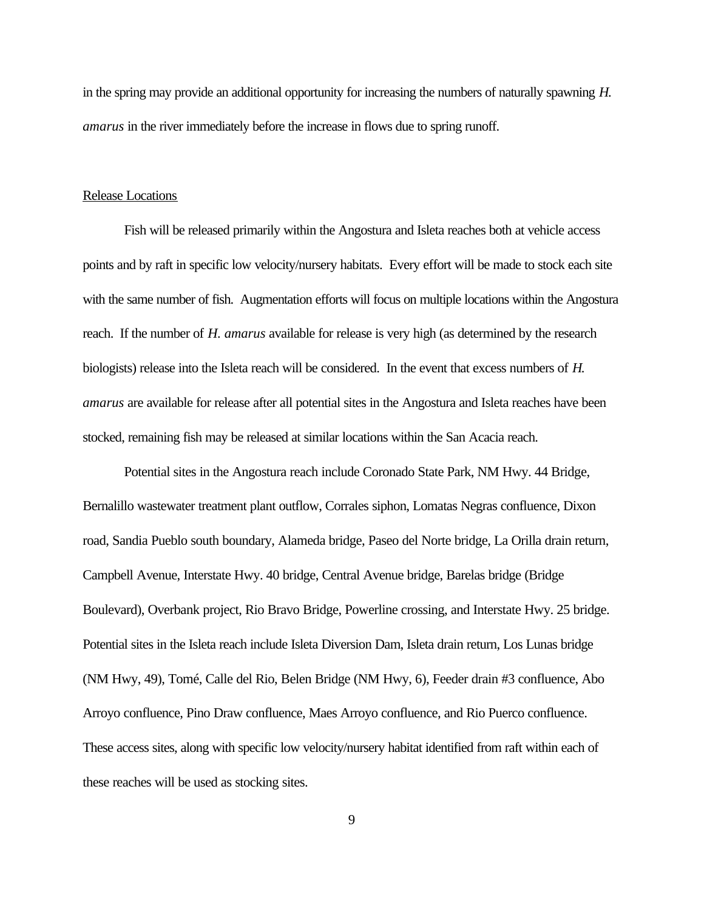in the spring may provide an additional opportunity for increasing the numbers of naturally spawning *H. amarus* in the river immediately before the increase in flows due to spring runoff.

## Release Locations

Fish will be released primarily within the Angostura and Isleta reaches both at vehicle access points and by raft in specific low velocity/nursery habitats. Every effort will be made to stock each site with the same number of fish. Augmentation efforts will focus on multiple locations within the Angostura reach. If the number of *H. amarus* available for release is very high (as determined by the research biologists) release into the Isleta reach will be considered. In the event that excess numbers of *H. amarus* are available for release after all potential sites in the Angostura and Isleta reaches have been stocked, remaining fish may be released at similar locations within the San Acacia reach.

Potential sites in the Angostura reach include Coronado State Park, NM Hwy. 44 Bridge, Bernalillo wastewater treatment plant outflow, Corrales siphon, Lomatas Negras confluence, Dixon road, Sandia Pueblo south boundary, Alameda bridge, Paseo del Norte bridge, La Orilla drain return, Campbell Avenue, Interstate Hwy. 40 bridge, Central Avenue bridge, Barelas bridge (Bridge Boulevard), Overbank project, Rio Bravo Bridge, Powerline crossing, and Interstate Hwy. 25 bridge. Potential sites in the Isleta reach include Isleta Diversion Dam, Isleta drain return, Los Lunas bridge (NM Hwy, 49), Tomé, Calle del Rio, Belen Bridge (NM Hwy, 6), Feeder drain #3 confluence, Abo Arroyo confluence, Pino Draw confluence, Maes Arroyo confluence, and Rio Puerco confluence. These access sites, along with specific low velocity/nursery habitat identified from raft within each of these reaches will be used as stocking sites.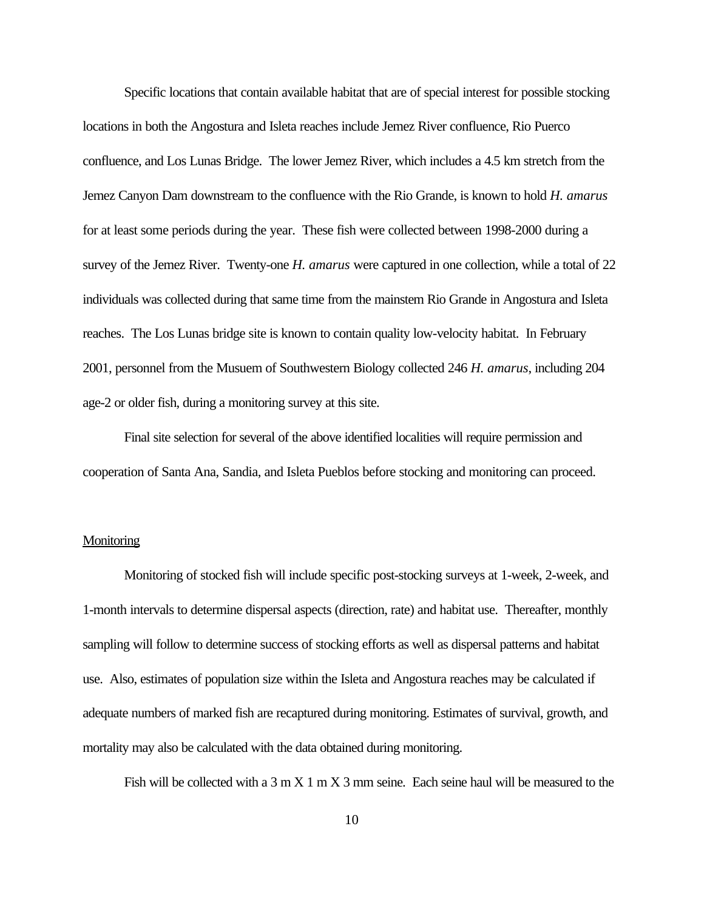Specific locations that contain available habitat that are of special interest for possible stocking locations in both the Angostura and Isleta reaches include Jemez River confluence, Rio Puerco confluence, and Los Lunas Bridge. The lower Jemez River, which includes a 4.5 km stretch from the Jemez Canyon Dam downstream to the confluence with the Rio Grande, is known to hold *H. amarus* for at least some periods during the year. These fish were collected between 1998-2000 during a survey of the Jemez River. Twenty-one *H. amarus* were captured in one collection, while a total of 22 individuals was collected during that same time from the mainstem Rio Grande in Angostura and Isleta reaches. The Los Lunas bridge site is known to contain quality low-velocity habitat. In February 2001, personnel from the Musuem of Southwestern Biology collected 246 *H. amarus*, including 204 age-2 or older fish, during a monitoring survey at this site.

Final site selection for several of the above identified localities will require permission and cooperation of Santa Ana, Sandia, and Isleta Pueblos before stocking and monitoring can proceed.

# **Monitoring**

Monitoring of stocked fish will include specific post-stocking surveys at 1-week, 2-week, and 1-month intervals to determine dispersal aspects (direction, rate) and habitat use. Thereafter, monthly sampling will follow to determine success of stocking efforts as well as dispersal patterns and habitat use. Also, estimates of population size within the Isleta and Angostura reaches may be calculated if adequate numbers of marked fish are recaptured during monitoring. Estimates of survival, growth, and mortality may also be calculated with the data obtained during monitoring.

Fish will be collected with a  $3 \text{ m X } 1 \text{ m X } 3 \text{ mm}$  seine. Each seine haul will be measured to the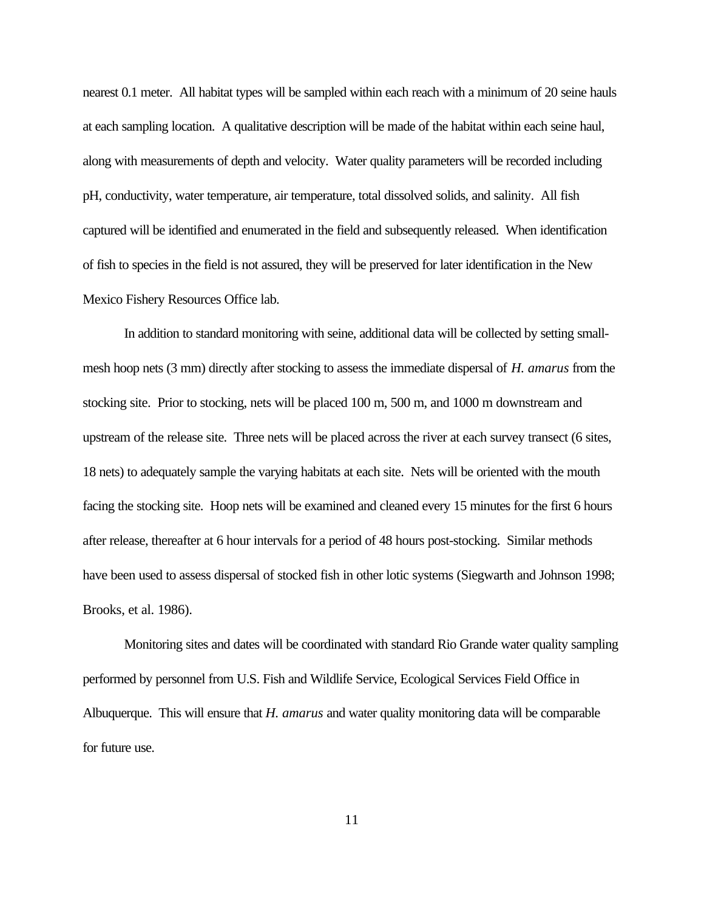nearest 0.1 meter. All habitat types will be sampled within each reach with a minimum of 20 seine hauls at each sampling location. A qualitative description will be made of the habitat within each seine haul, along with measurements of depth and velocity. Water quality parameters will be recorded including pH, conductivity, water temperature, air temperature, total dissolved solids, and salinity. All fish captured will be identified and enumerated in the field and subsequently released. When identification of fish to species in the field is not assured, they will be preserved for later identification in the New Mexico Fishery Resources Office lab.

In addition to standard monitoring with seine, additional data will be collected by setting smallmesh hoop nets (3 mm) directly after stocking to assess the immediate dispersal of *H. amarus* from the stocking site. Prior to stocking, nets will be placed 100 m, 500 m, and 1000 m downstream and upstream of the release site. Three nets will be placed across the river at each survey transect (6 sites, 18 nets) to adequately sample the varying habitats at each site. Nets will be oriented with the mouth facing the stocking site. Hoop nets will be examined and cleaned every 15 minutes for the first 6 hours after release, thereafter at 6 hour intervals for a period of 48 hours post-stocking. Similar methods have been used to assess dispersal of stocked fish in other lotic systems (Siegwarth and Johnson 1998; Brooks, et al. 1986).

Monitoring sites and dates will be coordinated with standard Rio Grande water quality sampling performed by personnel from U.S. Fish and Wildlife Service, Ecological Services Field Office in Albuquerque. This will ensure that *H. amarus* and water quality monitoring data will be comparable for future use.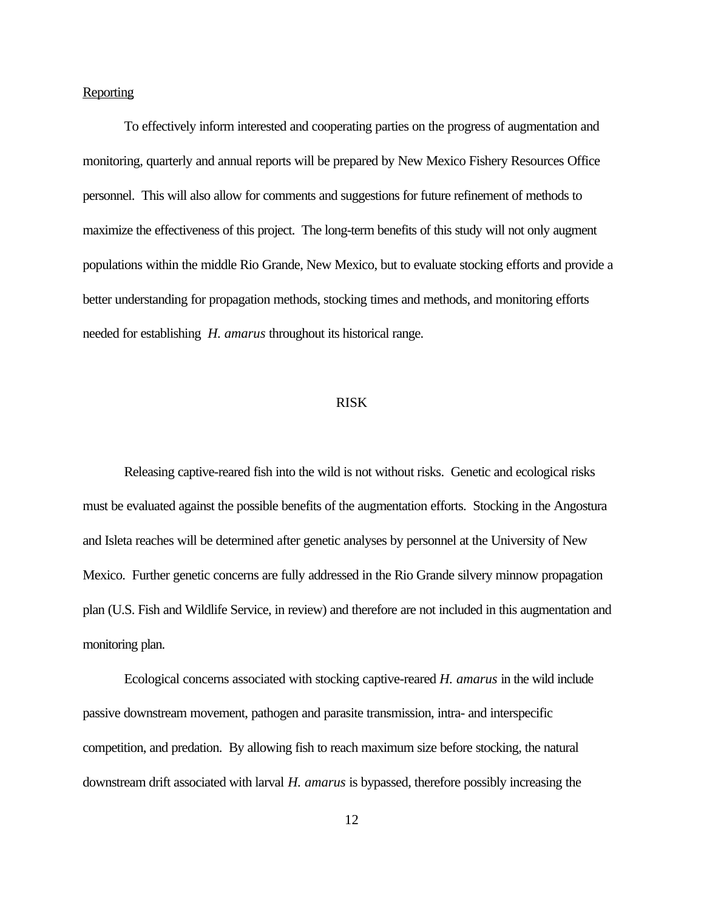### **Reporting**

To effectively inform interested and cooperating parties on the progress of augmentation and monitoring, quarterly and annual reports will be prepared by New Mexico Fishery Resources Office personnel. This will also allow for comments and suggestions for future refinement of methods to maximize the effectiveness of this project. The long-term benefits of this study will not only augment populations within the middle Rio Grande, New Mexico, but to evaluate stocking efforts and provide a better understanding for propagation methods, stocking times and methods, and monitoring efforts needed for establishing *H. amarus* throughout its historical range.

#### RISK

Releasing captive-reared fish into the wild is not without risks. Genetic and ecological risks must be evaluated against the possible benefits of the augmentation efforts. Stocking in the Angostura and Isleta reaches will be determined after genetic analyses by personnel at the University of New Mexico. Further genetic concerns are fully addressed in the Rio Grande silvery minnow propagation plan (U.S. Fish and Wildlife Service, in review) and therefore are not included in this augmentation and monitoring plan.

Ecological concerns associated with stocking captive-reared *H. amarus* in the wild include passive downstream movement, pathogen and parasite transmission, intra- and interspecific competition, and predation. By allowing fish to reach maximum size before stocking, the natural downstream drift associated with larval *H. amarus* is bypassed, therefore possibly increasing the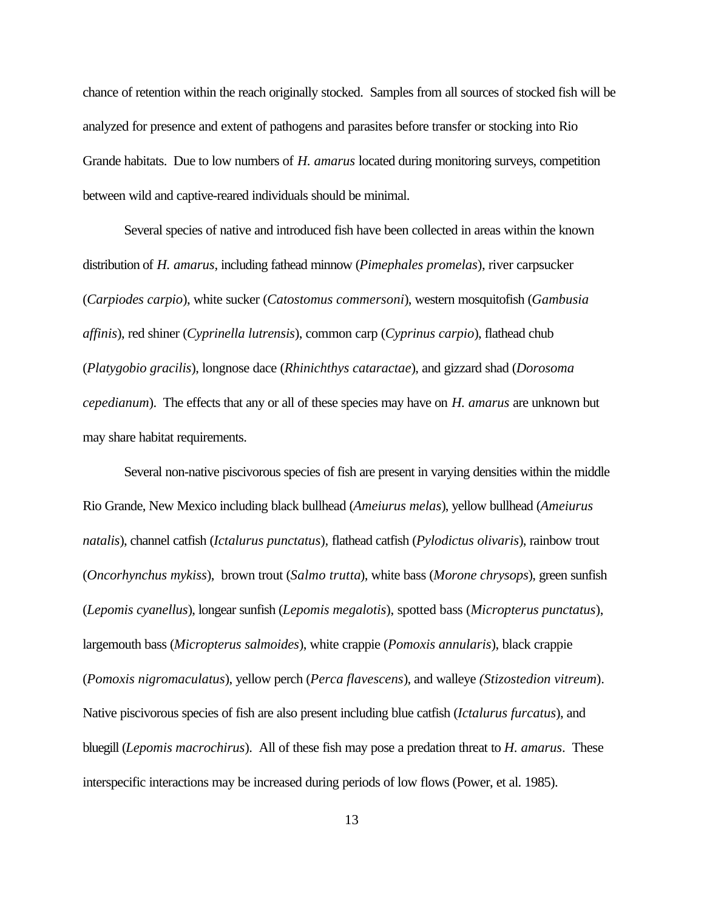chance of retention within the reach originally stocked. Samples from all sources of stocked fish will be analyzed for presence and extent of pathogens and parasites before transfer or stocking into Rio Grande habitats. Due to low numbers of *H. amarus* located during monitoring surveys, competition between wild and captive-reared individuals should be minimal.

Several species of native and introduced fish have been collected in areas within the known distribution of *H. amarus*, including fathead minnow (*Pimephales promelas*), river carpsucker (*Carpiodes carpio*), white sucker (*Catostomus commersoni*), western mosquitofish (*Gambusia affinis*), red shiner (*Cyprinella lutrensis*), common carp (*Cyprinus carpio*), flathead chub (*Platygobio gracilis*), longnose dace (*Rhinichthys cataractae*), and gizzard shad (*Dorosoma cepedianum*). The effects that any or all of these species may have on *H. amarus* are unknown but may share habitat requirements.

Several non-native piscivorous species of fish are present in varying densities within the middle Rio Grande, New Mexico including black bullhead (*Ameiurus melas*), yellow bullhead (*Ameiurus natalis*), channel catfish (*Ictalurus punctatus*)*,* flathead catfish (*Pylodictus olivaris*), rainbow trout (*Oncorhynchus mykiss*), brown trout (*Salmo trutta*), white bass (*Morone chrysops*), green sunfish (*Lepomis cyanellus*), longear sunfish (*Lepomis megalotis*), spotted bass (*Micropterus punctatus*), largemouth bass (*Micropterus salmoides*), white crappie (*Pomoxis annularis*), black crappie (*Pomoxis nigromaculatus*), yellow perch (*Perca flavescens*), and walleye *(Stizostedion vitreum*). Native piscivorous species of fish are also present including blue catfish (*Ictalurus furcatus*), and bluegill (*Lepomis macrochirus*). All of these fish may pose a predation threat to *H. amarus*. These interspecific interactions may be increased during periods of low flows (Power, et al. 1985).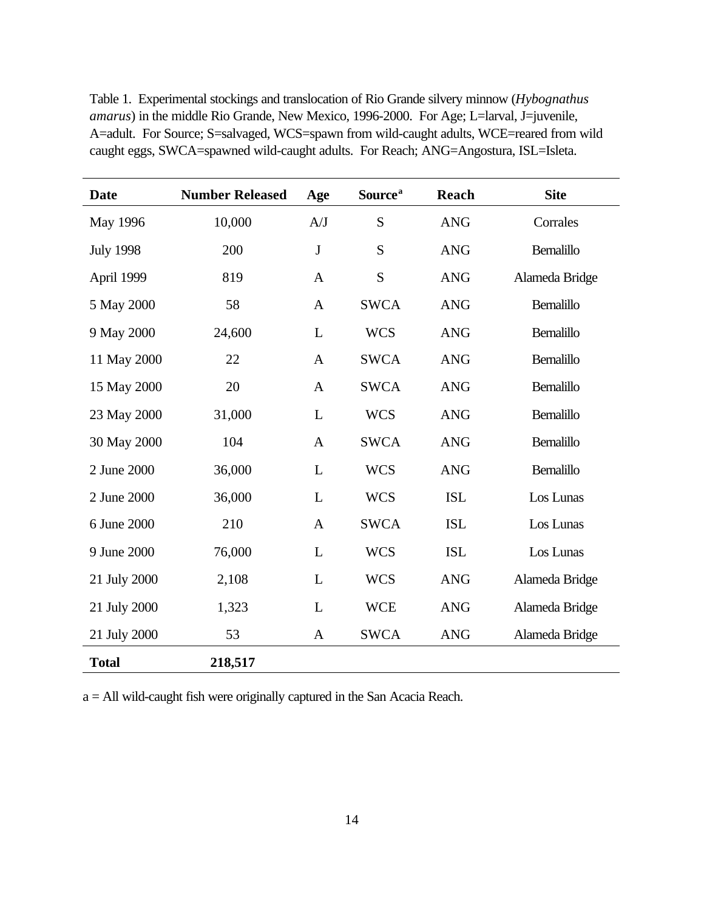| <b>Date</b>      | <b>Number Released</b> | Age          | Source <sup>a</sup> | Reach      | <b>Site</b>       |
|------------------|------------------------|--------------|---------------------|------------|-------------------|
| May 1996         | 10,000                 | A/J          | S                   | <b>ANG</b> | Corrales          |
| <b>July 1998</b> | 200                    | J            | S                   | <b>ANG</b> | Bernalillo        |
| April 1999       | 819                    | $\mathbf{A}$ | S                   | <b>ANG</b> | Alameda Bridge    |
| 5 May 2000       | 58                     | $\mathbf{A}$ | <b>SWCA</b>         | <b>ANG</b> | <b>Bernalillo</b> |
| 9 May 2000       | 24,600                 | L            | <b>WCS</b>          | <b>ANG</b> | <b>Bernalillo</b> |
| 11 May 2000      | 22                     | $\mathbf{A}$ | <b>SWCA</b>         | <b>ANG</b> | Bernalillo        |
| 15 May 2000      | 20                     | $\mathbf{A}$ | <b>SWCA</b>         | <b>ANG</b> | <b>Bernalillo</b> |
| 23 May 2000      | 31,000                 | $\mathbf{L}$ | <b>WCS</b>          | <b>ANG</b> | <b>Bernalillo</b> |
| 30 May 2000      | 104                    | $\mathbf{A}$ | <b>SWCA</b>         | <b>ANG</b> | <b>Bernalillo</b> |
| 2 June 2000      | 36,000                 | L            | <b>WCS</b>          | <b>ANG</b> | <b>Bernalillo</b> |
| 2 June 2000      | 36,000                 | L            | <b>WCS</b>          | <b>ISL</b> | Los Lunas         |
| 6 June 2000      | 210                    | $\mathbf{A}$ | <b>SWCA</b>         | <b>ISL</b> | Los Lunas         |
| 9 June 2000      | 76,000                 | L            | <b>WCS</b>          | <b>ISL</b> | Los Lunas         |
| 21 July 2000     | 2,108                  | L            | <b>WCS</b>          | <b>ANG</b> | Alameda Bridge    |
| 21 July 2000     | 1,323                  | L            | <b>WCE</b>          | <b>ANG</b> | Alameda Bridge    |
| 21 July 2000     | 53                     | $\mathbf{A}$ | <b>SWCA</b>         | <b>ANG</b> | Alameda Bridge    |
| <b>Total</b>     | 218,517                |              |                     |            |                   |

Table 1. Experimental stockings and translocation of Rio Grande silvery minnow (*Hybognathus amarus*) in the middle Rio Grande, New Mexico, 1996-2000. For Age; L=larval, J=juvenile, A=adult. For Source; S=salvaged, WCS=spawn from wild-caught adults, WCE=reared from wild caught eggs, SWCA=spawned wild-caught adults. For Reach; ANG=Angostura, ISL=Isleta.

a = All wild-caught fish were originally captured in the San Acacia Reach.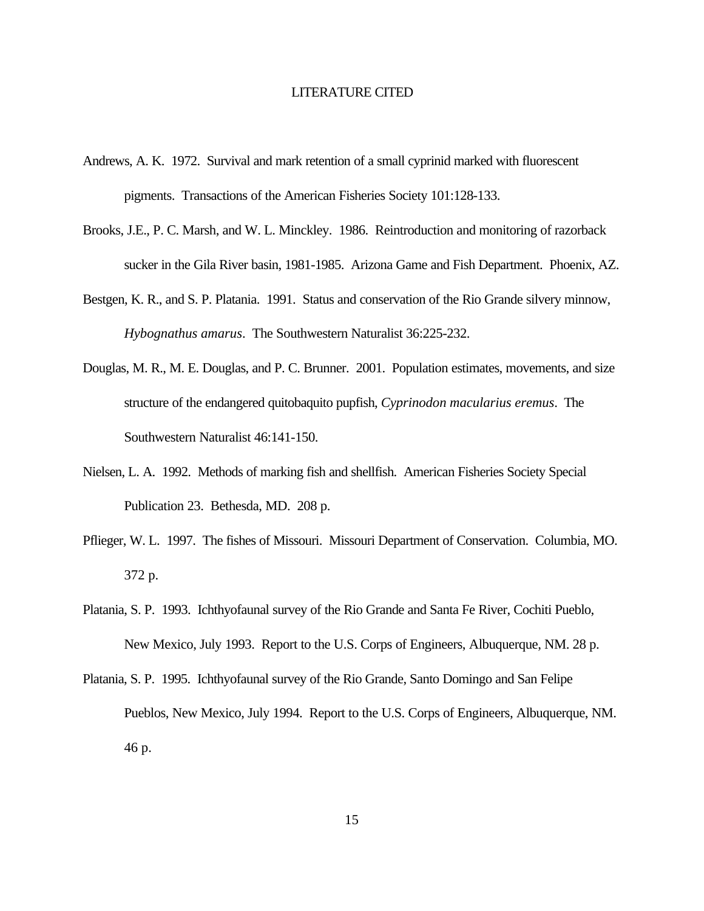#### LITERATURE CITED

- Andrews, A. K. 1972. Survival and mark retention of a small cyprinid marked with fluorescent pigments. Transactions of the American Fisheries Society 101:128-133.
- Brooks, J.E., P. C. Marsh, and W. L. Minckley. 1986. Reintroduction and monitoring of razorback sucker in the Gila River basin, 1981-1985. Arizona Game and Fish Department. Phoenix, AZ.
- Bestgen, K. R., and S. P. Platania. 1991. Status and conservation of the Rio Grande silvery minnow, *Hybognathus amarus*. The Southwestern Naturalist 36:225-232.
- Douglas, M. R., M. E. Douglas, and P. C. Brunner. 2001. Population estimates, movements, and size structure of the endangered quitobaquito pupfish, *Cyprinodon macularius eremus*. The Southwestern Naturalist 46:141-150.
- Nielsen, L. A. 1992. Methods of marking fish and shellfish. American Fisheries Society Special Publication 23. Bethesda, MD. 208 p.
- Pflieger, W. L. 1997. The fishes of Missouri. Missouri Department of Conservation. Columbia, MO. 372 p.
- Platania, S. P. 1993. Ichthyofaunal survey of the Rio Grande and Santa Fe River, Cochiti Pueblo, New Mexico, July 1993. Report to the U.S. Corps of Engineers, Albuquerque, NM. 28 p.
- Platania, S. P. 1995. Ichthyofaunal survey of the Rio Grande, Santo Domingo and San Felipe Pueblos, New Mexico, July 1994. Report to the U.S. Corps of Engineers, Albuquerque, NM. 46 p.